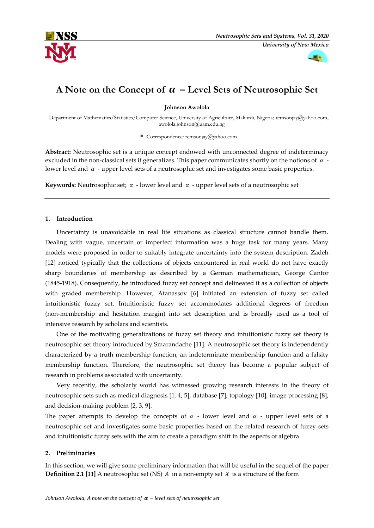



# **A** Note on the Concept of  $\alpha$  – Level Sets of Neutrosophic Set

**Johnson Awolola**

Department of Mathematics/Statistics/Computer Science, University of Agriculture, Makurdi, Nigeria[; remsonjay@yahoo.com,](mailto:remsonjay@yahoo.com)  awolola.johnson@uam.edu.ng

**\*** Correspondence: remsonjay@yahoo.com

**Abstract:** Neutrosophic set is a unique concept endowed with unconnected degree of indeterminacy excluded in the non-classical sets it generalizes. This paper communicates shortly on the notions of  $\alpha$  lower level and  $\alpha$  - upper level sets of a neutrosophic set and investigates some basic properties.

**Keywords:** Neutrosophic set;  $\alpha$  - lower level and  $\alpha$  - upper level sets of a neutrosophic set

# **1. Introduction**

Uncertainty is unavoidable in real life situations as classical structure cannot handle them. Dealing with vague, uncertain or imperfect information was a huge task for many years. Many models were proposed in order to suitably integrate uncertainty into the system description. Zadeh [12] noticed typically that the collections of objects encountered in real world do not have exactly sharp boundaries of membership as described by a German mathematician, George Cantor (1845-1918). Consequently, he introduced fuzzy set concept and delineated it as a collection of objects with graded membership. However, Atanassov [6] initiated an extension of fuzzy set called intuitionistic fuzzy set. Intuitionistic fuzzy set accommodates additional degrees of freedom (non-membership and hesitation margin) into set description and is broadly used as a tool of intensive research by scholars and scientists.

One of the motivating generalizations of fuzzy set theory and intuitionistic fuzzy set theory is neutrosophic set theory introduced by Smarandache [11]. A neutrosophic set theory is independently characterized by a truth membership function, an indeterminate membership function and a falsity membership function. Therefore, the neutrosophic set theory has become a popular subject of research in problems associated with uncertainty.

Very recently, the scholarly world has witnessed growing research interests in the theory of neutrosophic sets such as medical diagnosis [1, 4, 5], database [7], topology [10], image processing [8], and decision-making problem [2, 3, 9].

The paper attempts to develop the concepts of  $\alpha$  - lower level and  $\alpha$  - upper level sets of a neutrosophic set and investigates some basic properties based on the related research of fuzzy sets and intuitionistic fuzzy sets with the aim to create a paradigm shift in the aspects of algebra.

# **2. Preliminaries**

In this section, we will give some preliminary information that will be useful in the sequel of the paper **Definition 2.1 [11]** A neutrosophic set (NS)  $\hat{A}$  in a non-empty set  $\hat{X}$  is a structure of the form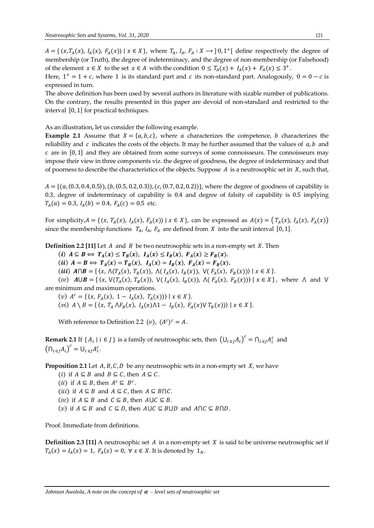$A = \{ (x, T_A(x), I_A(x), F_A(x)) \mid x \in X \}$ , where  $T_A$ ,  $I_A$ ,  $F_A : X \rightarrow ]0,1^+[$  define respectively the degree of membership (or Truth), the degree of indeterminacy, and the degree of non-membership (or Falsehood) of the element  $x \in X$  to the set  $x \in A$  with the condition  $0 \leq T_A(x) + I_A(x) + F_A(x) \leq 3^+$ .

Here,  $1^+$  = 1 + c, where 1 is its standard part and c its non-standard part. Analogously,  $0 = 0 - c$  is expressed in turn.

The above definition has been used by several authors in literature with sizable number of publications. On the contrary, the results presented in this paper are devoid of non-standard and restricted to the interval [0, 1] for practical techniques.

As an illustration, let us consider the following example.

**Example 2.1** Assume that  $X = \{a, b, c\}$ , where a characterizes the competence, b characterizes the reliability and  $c$  indicates the costs of the objects. It may be further assumed that the values of  $a, b$  and  $c$  are in  $[0, 1]$  and they are obtained from some surveys of some connoisseurs. The connoisseurs may impose their view in three components viz. the degree of goodness, the degree of indeterminacy and that of poorness to describe the characteristics of the objects. Suppose  $A$  is a neutrosophic set in  $X$ , such that,

 $A = \{(a, (0.3, 0.4, 0.5)), (b, (0.5, 0.2, 0.3)), (c, (0.7, 0.2, 0.2))\}$ , where the degree of goodness of capability is 0.3, degree of indeterminacy of capability is 0.4 and degree of falsity of capability is 0.5 implying  $T_A(a) = 0.3$ ,  $I_A(b) = 0.4$ ,  $F_A(c) = 0.5$  etc.

For simplicity,  $A = \{ (x, T_A(x), I_A(x), F_A(x)) \mid x \in X \}$ , can be expressed as  $A(x) = (T_A(x), I_A(x), F_A(x))$ since the membership functions  $T_A$ ,  $I_A$ ,  $F_A$  are defined from X into the unit interval [0, 1].

**Definition 2.2 [11]** Let  $A$  and  $B$  be two neutrosophic sets in a non-empty set  $X$ . Then

(i)  $A \subseteq B \iff T_A(x) \le T_B(x)$ ,  $I_A(x) \le I_B(x)$ ,  $F_A(x) \ge F_B(x)$ .

(ii)  $A = B \Leftrightarrow T_A(x) = T_B(x)$ ,  $I_A(x) = I_B(x)$ ,  $F_A(x) = F_B(x)$ .

(*iii*)  $A \cap B = \{ \langle x, \Lambda(T_A(x), T_B(x)), \Lambda(T_A(x), I_B(x)), \, \forall (F_A(x), F_B(x)) \rangle \mid x \in X \}.$ 

(*iv*)  $A \cup B = \{ \langle x, \sqrt{T_A(x)}, T_B(x) \rangle, \sqrt{T_A(x)}, I_B(x) \rangle, \sqrt{T_A(x)}, F_B(x) \rangle \mid x \in X \}$ , where  $\Lambda$  and  $\Lambda$ are minimum and maximum operations.

(v)  $A^c = \{ (x, F_A(x), 1 - I_A(x), T_A(x)) \mid x \in X \}.$ 

(*vi*)  $A \setminus B = \{ \langle x, T_A \wedge F_B(x), I_A(x) \wedge 1 - I_B(x), F_A(x) \vee T_B(x) \rangle \mid x \in X \}.$ 

With reference to Definition 2.2 (*v*),  $(A^c)^c = A$ .

**Remark 2.1** If  $\{A_i \mid i \in J\}$  is a family of neutrosophic sets, then  $(U_{i \in J} A_i)^c = \bigcap_{i \in J} A_i^c$  and  $\left(\bigcap_{i\in J} A_i\right)^c = \bigcup_{i\in J} A_i^c.$ 

**Proposition 2.1** Let  $A, B, C, D$  be any neutrosophic sets in a non-empty set  $X$ , we have

(*i*) if  $A \subseteq B$  and  $B \subseteq C$ , then  $A \subseteq C$ .

(*ii*) if  $A \subseteq B$ , then  $A^c \subseteq B^c$ .

(*iii*) if  $A \subseteq B$  and  $A \subseteq C$ , then  $A \subseteq B \cap C$ .

(*iv*) if  $A \subseteq B$  and  $C \subseteq B$ , then  $A \cup C \subseteq B$ .

(*v*) if  $A \subseteq B$  and  $C \subseteq D$ , then  $A \cup C \subseteq B \cup D$  and  $A \cap C \subseteq B \cap D$ .

Proof. Immediate from definitions.

**Definition 2.3 [11]** A neutrosophic set  $A$  in a non-empty set  $X$  is said to be universe neutrosophic set if  $T_A(x) = I_A(x) = 1$ ,  $F_A(x) = 0$ ,  $\forall x \in X$ . It is denoted by  $1_N$ .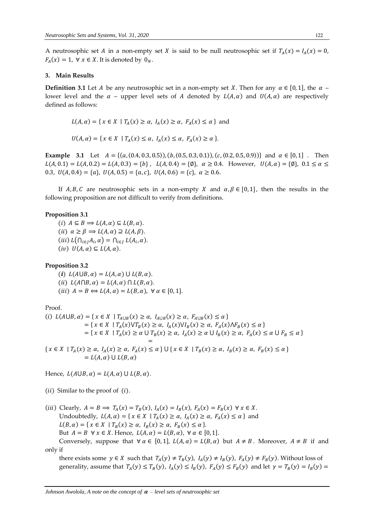A neutrosophic set *A* in a non-empty set *X* is said to be null neutrosophic set if  $T_A(x) = I_A(x) = 0$ ,  $F_A(x) = 1$ ,  $\forall x \in X$ . It is denoted by  $0_N$ .

#### **3. Main Results**

**Definition 3.1** Let A be any neutrosophic set in a non-empty set X. Then for any  $\alpha \in [0,1]$ , the  $\alpha$  – lower level and the  $\alpha$  – upper level sets of A denoted by  $L(A, \alpha)$  and  $U(A, \alpha)$  are respectively defined as follows:

$$
L(A, \alpha) = \{ x \in X \mid T_A(x) \ge \alpha, I_A(x) \ge \alpha, F_A(x) \le \alpha \}
$$
 and

 $U(A, \alpha) = \{ x \in X \mid T_A(x) \leq \alpha, I_A(x) \leq \alpha, F_A(x) \geq \alpha \}.$ 

**Example** 3.1 Let  $A = \{(a, (0.4, 0.3, 0.5)), (b, (0.5, 0.3, 0.1)), (c, (0.2, 0.5, 0.9))\}$  and  $\alpha \in [0, 1]$ . Then  $L(A, 0.1) = L(A, 0.2) = L(A, 0.3) = \{b\}$ ,  $L(A, 0.4) = \{\emptyset\}$ ,  $\alpha \ge 0.4$ . However,  $U(A, \alpha) = \{\emptyset\}$ ,  $0.1 \le \alpha \le 0.4$ . 0.3,  $U(A, 0.4) = \{a\}, U(A, 0.5) = \{a, c\}, U(A, 0.6) = \{c\}, \alpha \ge 0.6$ .

If A, B, C are neutrosophic sets in a non-empty X and  $\alpha, \beta \in [0, 1]$ , then the results in the following proposition are not difficult to verify from definitions.

#### **Proposition 3.1**

 $(i)$   $A \subseteq B \implies L(A, \alpha) \subseteq L(B, \alpha)$ .  $(ii)$   $\alpha \geq \beta \Rightarrow L(A, \alpha) \supseteq L(A, \beta).$  $(iii) L(\bigcap_{i \in J} A_i, \alpha) = \bigcap_{i \in J} L(A_i, \alpha).$  $(iv) U(A, \alpha) \subseteq L(A, \alpha)$ .

**Proposition 3.2**

(i)  $L(A \cup B, \alpha) = L(A, \alpha) \cup L(B, \alpha)$ . (ii)  $L(A \cap B, \alpha) = L(A, \alpha) \cap L(B, \alpha)$ . (*iii*)  $A = B \Leftrightarrow L(A, \alpha) = L(B, \alpha)$ ,  $\forall \alpha \in [0, 1].$ 

Proof.

$$
(i) \ L(A \cup B, \alpha) = \{x \in X \mid T_{A \cup B}(x) \ge \alpha, I_{A \cup B}(x) \ge \alpha, F_{A \cup B}(x) \le \alpha\}
$$
  
\n
$$
= \{x \in X \mid T_A(x) \lor T_B(x) \ge \alpha, I_A(x) \lor I_B(x) \ge \alpha, F_A(x) \land F_B(x) \le \alpha\}
$$
  
\n
$$
= \{x \in X \mid T_A(x) \ge \alpha \cup T_B(x) \ge \alpha, I_A(x) \ge \alpha \cup I_B(x) \ge \alpha, F_A(x) \le \alpha \cup F_B \le \alpha\}
$$
  
\n
$$
=
$$
  
\n
$$
\{x \in X \mid T_A(x) \ge \alpha, I_A(x) \ge \alpha, F_A(x) \le \alpha\} \cup \{x \in X \mid T_B(x) \ge \alpha, I_B(x) \ge \alpha, F_B(x) \le \alpha\}
$$

 $= L(A, \alpha) \cup L(B, \alpha)$ 

Hence,  $L(A \cup B, \alpha) = L(A, \alpha) \cup L(B, \alpha)$ .

( $ii$ ) Similar to the proof of  $(i)$ .

(iii) Clearly,  $A = B \implies T_A(x) = T_B(x)$ ,  $I_A(x) = I_B(x)$ ,  $F_A(x) = F_B(x) \forall x \in X$ . Undoubtedly,  $L(A, \alpha) = \{ x \in X \mid T_A(x) \ge \alpha, I_A(x) \ge \alpha, F_A(x) \le \alpha \}$  and  $L(B, \alpha) = \{ x \in X \mid T_B(x) \ge \alpha, I_B(x) \ge \alpha, F_B(x) \le \alpha \}.$ But  $A = B \ \forall x \in X$ . Hence,  $L(A, \alpha) = L(B, \alpha)$ ,  $\forall \alpha \in [0, 1]$ . Conversely, suppose that  $\forall \alpha \in [0,1]$ ,  $L(A, \alpha) = L(B, \alpha)$  but  $A \neq B$ . Moreover,  $A \neq B$  if and only if

there exists some  $y \in X$  such that  $T_A(y) \neq T_B(y)$ ,  $I_A(y) \neq I_B(y)$ ,  $F_A(y) \neq F_B(y)$ . Without loss of generality, assume that  $T_A(y) \le T_B(y)$ ,  $I_A(y) \le I_B(y)$ ,  $F_A(y) \le F_B(y)$  and let  $\gamma = T_B(y) = I_B(y)$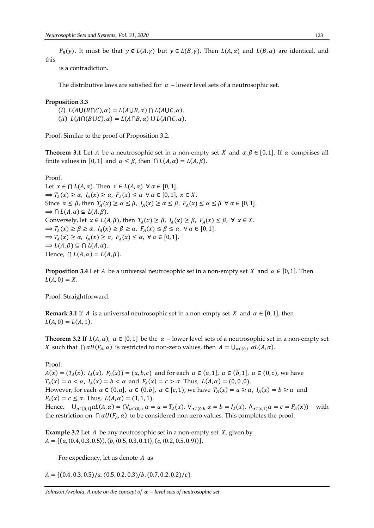$F_B(y)$ . It must be that  $y \notin L(A, \gamma)$  but  $y \in L(B, \gamma)$ . Then  $L(A, \alpha)$  and  $L(B, \alpha)$  are identical, and this

is a contradiction.

The distributive laws are satisfied for  $\alpha$  – lower level sets of a neutrosophic set.

#### **Proposition 3.3**

(i)  $L(A\cup (B\cap C), \alpha) = L(A\cup B, \alpha) \cap L(A\cup C, \alpha).$ (ii)  $L(A \cap (B \cup C), \alpha) = L(A \cap B, \alpha) \cup L(A \cap C, \alpha)$ .

Proof. Similar to the proof of Proposition 3.2.

**Theorem 3.1** Let A be a neutrosophic set in a non-empty set X and  $\alpha, \beta \in [0, 1]$ . If  $\alpha$  comprises all finite values in [0, 1] and  $\alpha \leq \beta$ , then  $\bigcap L(A, \alpha) = L(A, \beta)$ .

Proof. Let  $x \in \bigcap L(A, \alpha)$ . Then  $x \in L(A, \alpha) \ \forall \alpha \in [0, 1]$ .  $\Rightarrow T_A(x) \ge \alpha$ ,  $I_A(x) \ge \alpha$ ,  $F_A(x) \le \alpha \ \forall \alpha \in [0,1], \ x \in X$ . Since  $\alpha \leq \beta$ , then  $T_A(x) \geq \alpha \leq \beta$ ,  $I_A(x) \geq \alpha \leq \beta$ ,  $F_A(x) \leq \alpha \leq \beta \ \forall \alpha \in [0,1]$ .  $\Rightarrow \bigcap L(A, \alpha) \subseteq L(A, \beta).$ Conversely, let  $x \in L(A, \beta)$ , then  $T_A(x) \ge \beta$ ,  $I_A(x) \ge \beta$ ,  $F_A(x) \le \beta$ ,  $\forall x \in X$ .  $\Rightarrow T_A(x) \ge \beta \ge \alpha, I_A(x) \ge \beta \ge \alpha, F_A(x) \le \beta \le \alpha, \forall \alpha \in [0,1].$  $\Rightarrow T_A(x) \ge \alpha$ ,  $I_A(x) \ge \alpha$ ,  $F_A(x) \le \alpha$ ,  $\forall \alpha \in [0,1].$  $\Rightarrow$   $L(A, \beta) \subseteq \bigcap L(A, \alpha)$ . Hence,  $\bigcap L(A, \alpha) = L(A, \beta)$ .

**Proposition 3.4** Let A be a universal neutrosophic set in a non-empty set X and  $\alpha \in [0, 1]$ . Then  $L(A, 0) = X.$ 

Proof. Straightforward.

**Remark 3.1** If A is a universal neutrosophic set in a non-empty set X and  $\alpha \in [0, 1]$ , then  $L(A, 0) = L(A, 1).$ 

**Theorem 3.2** If  $L(A, \alpha)$ ,  $\alpha \in [0, 1]$  be the  $\alpha$  – lower level sets of a neutrosophic set in a non-empty set X such that  $\bigcap \alpha U(F_A, \alpha)$  is restricted to non-zero values, then  $A = \bigcup_{\alpha \in [0,1]} \alpha L(A, \alpha)$ .

#### Proof.

 $A(x) = (T_A(x), I_A(x), F_A(x)) = (a, b, c)$  and for each  $\alpha \in (a, 1], \alpha \in (b, 1], \alpha \in (0, c)$ , we have  $T_A(x) = a < \alpha$ ,  $I_A(x) = b < \alpha$  and  $F_A(x) = c > \alpha$ . Thus,  $L(A, \alpha) = (0, 0, 0)$ . However, for each  $\alpha \in (0, a]$ ,  $\alpha \in (0, b]$ ,  $\alpha \in [c, 1)$ , we have  $T_A(x) = \alpha \ge \alpha$ ,  $I_A(x) = b \ge \alpha$  and  $F_A(x) = c \le \alpha$ . Thus,  $L(A, \alpha) = (1, 1, 1)$ . Hence,  $\bigcup_{\alpha\in[0,1]}\alpha L(A,\alpha)=(\bigvee_{\alpha\in(0,\alpha]}\alpha=a=T_A(x),\bigvee_{\alpha\in(0,b]}\alpha=b=I_A(x),\ \bigwedge_{\alpha\in[c,1]}\alpha=c=F_A(x)\big)$  with

the restriction on  $\bigcap \alpha U(F_A, \alpha)$  to be considered non-zero values. This completes the proof.

**Example 3.2** Let  $A$  be any neutrosophic set in a non-empty set  $X$ , given by  $A = \{(a, (0.4, 0.3, 0.5)), (b, (0.5, 0.3, 0.1)), (c, (0.2, 0.5, 0.9))\}.$ 

For expediency, let us denote  $A$  as

 $A = \{(0.4, 0.3, 0.5)/a, (0.5, 0.2, 0.3)/b, (0.7, 0.2, 0.2)/c\}.$ 

*Johnson Awolola, A note on the concept of*  $\alpha$  – *level sets of neutrosophic set*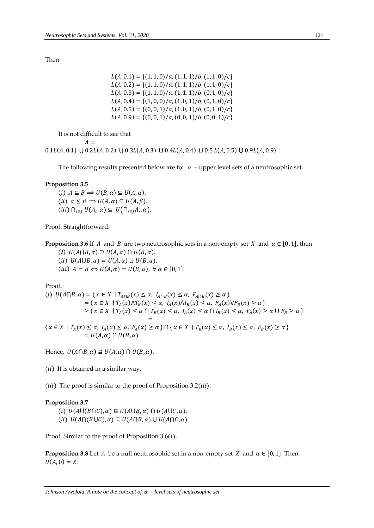Then

 $L(A, 0.1) = \{(1, 1, 0)/a, (1, 1, 1)/b, (1, 1, 0)/c\}$  $L(A, 0.2) = \{(1, 1, 0)/a, (1, 1, 1)/b, (1, 1, 0)/c\}$  $L(A, 0.3) = \{(1, 1, 0)/a, (1, 1, 1)/b, (0, 1, 0)/c\}$  $L(A, 0.4) = \{(1, 0, 0)/a, (1, 0, 1)/b, (0, 1, 0)/c\}$  $L(A, 0.5) = \{(0, 0, 1)/a, (1, 0, 1)/b, (0, 1, 0)/c\}$  $L(A, 0.9) = \{(0, 0, 1)/a, (0, 0, 1)/b, (0, 0, 1)/c\}$ 

It is not difficult to see that

 $A =$ 

 $0.1L(A, 0.1) \cup 0.2L(A, 0.2) \cup 0.3L(A, 0.3) \cup 0.4L(A, 0.4) \cup 0.5L(A, 0.5) \cup 0.9L(A, 0.9).$ 

The following results presented below are for  $\alpha$  – upper level sets of a neutrosophic set.

#### **Proposition 3.5**

(i)  $A \subseteq B \implies U(B, \alpha) \subseteq U(A, \alpha)$ . (*ii*)  $\alpha \le \beta \Rightarrow U(A, \alpha) \subseteq U(A, \beta)$ .  $(iii)$   $\bigcap_{i \in J} U(A_i, \alpha) \subseteq U(\bigcap_{i \in J} A_i, \alpha)$ .

Proof. Straightforward.

**Proposition 3.6** If A and B are two neutrosophic sets in a non-empty set X and  $\alpha \in [0, 1]$ , then

(i)  $U(A \cap B, \alpha) \supseteq U(A, \alpha) \cap U(B, \alpha)$ .

(ii)  $U(A \cup B, \alpha) = U(A, \alpha) \cup U(B, \alpha)$ .

(*iii*)  $A = B \Leftrightarrow U(A, \alpha) = U(B, \alpha)$ ,  $\forall \alpha \in [0, 1]$ .

Proof.

$$
(i) \ U(A \cap B, \alpha) = \{x \in X \mid T_{A \cap B}(x) \le \alpha, I_{A \cap B}(x) \le \alpha, F_{A \cap B}(x) \ge \alpha\}
$$
  
\n
$$
= \{x \in X \mid T_A(x) \land T_B(x) \le \alpha, I_A(x) \land I_B(x) \le \alpha, F_A(x) \lor F_B(x) \ge \alpha\}
$$
  
\n
$$
\ge \{x \in X \mid T_A(x) \le \alpha \cap T_B(x) \le \alpha, I_A(x) \le \alpha \cap I_B(x) \le \alpha, F_A(x) \ge \alpha \cup F_B \ge \alpha\}
$$
  
\n
$$
= \{x \in X \mid T_A(x) \le \alpha, I_A(x) \le \alpha, F_A(x) \ge \alpha\} \cap \{x \in X \mid T_B(x) \le \alpha, I_B(x) \le \alpha, F_B(x) \ge \alpha\}
$$
  
\n
$$
= U(A, \alpha) \cap U(B, \alpha)
$$

Hence,  $U(A \cap B, \alpha) \supseteq U(A, \alpha) \cap U(B, \alpha)$ .

 $(ii)$  It is obtained in a similar way.

(*iii*) The proof is similar to the proof of Proposition  $3.2(iii)$ .

## **Proposition 3.7**

(i)  $U(A\cup (B\cap C), \alpha) \subseteq U(A\cup B, \alpha) \cap U(A\cup C, \alpha)$ .

(ii)  $U(A \cap (B \cup C), \alpha) \subseteq U(A \cap B, \alpha) \cup U(A \cap C, \alpha)$ .

Proof. Similar to the proof of Proposition  $3.6(i)$ .

**Proposition 3.8** Let A be a null neutrosophic set in a non-empty set X and  $\alpha \in [0, 1]$ . Then  $U(A, 0) = X.$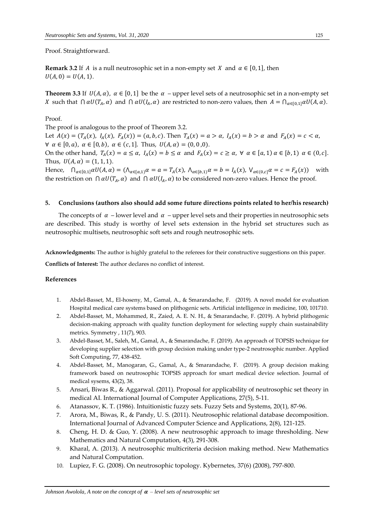Proof. Straightforward.

**Remark 3.2** If A is a null neutrosophic set in a non-empty set X and  $\alpha \in [0, 1]$ , then  $U(A, 0) = U(A, 1).$ 

**Theorem 3.3** If  $U(A, \alpha)$ ,  $\alpha \in [0, 1]$  be the  $\alpha$  – upper level sets of a neutrosophic set in a non-empty set X such that  $\bigcap \alpha U(T_A, \alpha)$  and  $\bigcap \alpha U(I_A, \alpha)$  are restricted to non-zero values, then  $A = \bigcap_{\alpha \in [0,1]} \alpha U(A, \alpha)$ .

## Proof.

The proof is analogous to the proof of Theorem 3.2.

Let  $A(x) = (T_A(x), I_A(x), F_A(x)) = (a, b, c)$ . Then  $T_A(x) = a > a$ ,  $I_A(x) = b > a$  and  $F_A(x) = c < a$ ,  $\forall \alpha \in [0, \alpha), \alpha \in [0, b), \alpha \in (c, 1].$  Thus,  $U(A, \alpha) = (0, 0, 0).$ On the other hand,  $T_A(x) = a \le \alpha$ ,  $I_A(x) = b \le \alpha$  and  $F_A(x) = c \ge \alpha$ ,  $\forall \alpha \in [a, 1) \alpha \in [b, 1) \alpha \in (0, c]$ . Thus,  $U(A, \alpha) = (1, 1, 1)$ . Hence,  $\bigcap_{\alpha\in [0,1]} \alpha U(A,\alpha) = (\bigcap_{\alpha\in [a,1]} \alpha = \alpha = T_A(x), \bigcap_{\alpha\in [b,1]} \alpha = b = I_A(x), \bigvee_{\alpha\in (0,c]} \alpha = c = F_A(x)$  with the restriction on  $\bigcap \alpha U(T_A, \alpha)$  and  $\bigcap \alpha U(I_A, \alpha)$  to be considered non-zero values. Hence the proof.

#### **5. Conclusions (authors also should add some future directions points related to her/his research)**

The concepts of  $\alpha$  – lower level and  $\alpha$  – upper level sets and their properties in neutrosophic sets are described. This study is worthy of level sets extension in the hybrid set structures such as neutrosophic multisets, neutrosophic soft sets and rough neutrosophic sets.

**Acknowledgments:** The author is highly grateful to the referees for their constructive suggestions on this paper.

**Conflicts of Interest:** The author declares no conflict of interest.

## **References**

- 1. Abdel-Basset, M., El-hoseny, M., Gamal, A., & Smarandache, F. (2019). A novel model for evaluation Hospital medical care systems based on plithogenic sets. Artificial intelligence in medicine, 100, 101710.
- 2. Abdel-Basset, M., Mohammed, R., Zaied, A. E. N. H., & Smarandache, F. (2019). A hybrid plithogenic decision-making approach with quality function deployment for selecting supply chain sustainability metrics. Symmetry , 11(7), 903.
- 3. Abdel-Basset, M., Saleh, M., Gamal, A., & Smarandache, F. (2019). An approach of TOPSIS technique for developing supplier selection with group decision making under type-2 neutrosophic number. Applied Soft Computing, 77, 438-452.
- 4. Abdel-Basset, M., Manogaran, G., Gamal, A., & Smarandache, F. (2019). A group decision making framework based on neutrosophic TOPSIS approach for smart medical device selection. Journal of medical sysems, 43(2), 38.
- 5. Ansari, Biwas R., & Aggarwal. (2011). Proposal for applicability of neutrosophic set theory in medical AI. International Journal of Computer Applications, 27(5), 5-11.
- 6. Atanassov, K. T. (1986). Intuitionistic fuzzy sets. Fuzzy Sets and Systems, 20(1), 87-96.
- 7. Arora, M., Biwas, R., & Pandy, U. S. (2011). Neutrosophic relational database decomposition. International Journal of Advanced Computer Science and Applications, 2(8), 121-125.
- 8. Cheng, H. D. & Guo, Y. (2008). A new neutrosophic approach to image thresholding. New Mathematics and Natural Computation, 4(3), 291-308.
- 9. Kharal, A. (2013). A neutrosophic multicriteria decision making method. New Mathematics and Natural Computation.
- 10. Lupiez, F. G. (2008). On neutrosophic topology. Kybernetes, 37(6) (2008), 797-800.